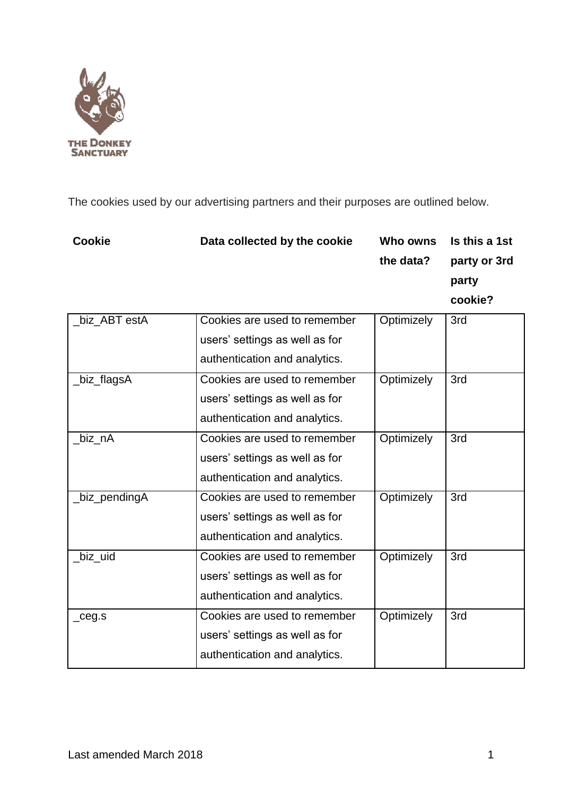

The cookies used by our advertising partners and their purposes are outlined below.

| Data collected by the cookie | Who owns  | Is this a 1st |
|------------------------------|-----------|---------------|
|                              | the data? | party or 3rd  |
|                              |           | party         |
|                              |           | cookie?       |
|                              |           |               |

| _biz_ABT estA | Cookies are used to remember<br>users' settings as well as for<br>authentication and analytics. | Optimizely | 3rd |
|---------------|-------------------------------------------------------------------------------------------------|------------|-----|
| _biz_flagsA   | Cookies are used to remember<br>users' settings as well as for<br>authentication and analytics. | Optimizely | 3rd |
| _biz_nA       | Cookies are used to remember<br>users' settings as well as for<br>authentication and analytics. | Optimizely | 3rd |
| _biz_pendingA | Cookies are used to remember<br>users' settings as well as for<br>authentication and analytics. | Optimizely | 3rd |
| _biz_uid      | Cookies are used to remember<br>users' settings as well as for<br>authentication and analytics. | Optimizely | 3rd |
| $\_ceg.s$     | Cookies are used to remember<br>users' settings as well as for<br>authentication and analytics. | Optimizely | 3rd |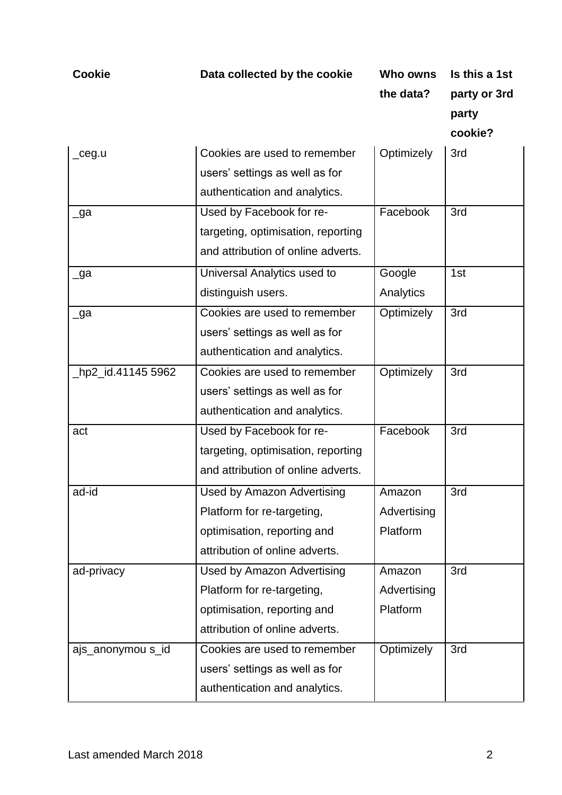**the data? party or 3rd party**

| _ceg.u             | Cookies are used to remember       | Optimizely  | 3rd |
|--------------------|------------------------------------|-------------|-----|
|                    | users' settings as well as for     |             |     |
|                    | authentication and analytics.      |             |     |
| _ga                | Used by Facebook for re-           | Facebook    | 3rd |
|                    | targeting, optimisation, reporting |             |     |
|                    | and attribution of online adverts. |             |     |
| _ga                | Universal Analytics used to        | Google      | 1st |
|                    | distinguish users.                 | Analytics   |     |
| _ga                | Cookies are used to remember       | Optimizely  | 3rd |
|                    | users' settings as well as for     |             |     |
|                    | authentication and analytics.      |             |     |
| _hp2_id.41145 5962 | Cookies are used to remember       | Optimizely  | 3rd |
|                    | users' settings as well as for     |             |     |
|                    | authentication and analytics.      |             |     |
| act                | Used by Facebook for re-           | Facebook    | 3rd |
|                    | targeting, optimisation, reporting |             |     |
|                    | and attribution of online adverts. |             |     |
| ad-id              | <b>Used by Amazon Advertising</b>  | Amazon      | 3rd |
|                    | Platform for re-targeting,         | Advertising |     |
|                    | optimisation, reporting and        | Platform    |     |
|                    | attribution of online adverts.     |             |     |
| ad-privacy         | <b>Used by Amazon Advertising</b>  | Amazon      | 3rd |
|                    | Platform for re-targeting,         | Advertising |     |
|                    | optimisation, reporting and        | Platform    |     |
|                    | attribution of online adverts.     |             |     |
| ajs_anonymou s_id  | Cookies are used to remember       | Optimizely  | 3rd |
|                    | users' settings as well as for     |             |     |
|                    | authentication and analytics.      |             |     |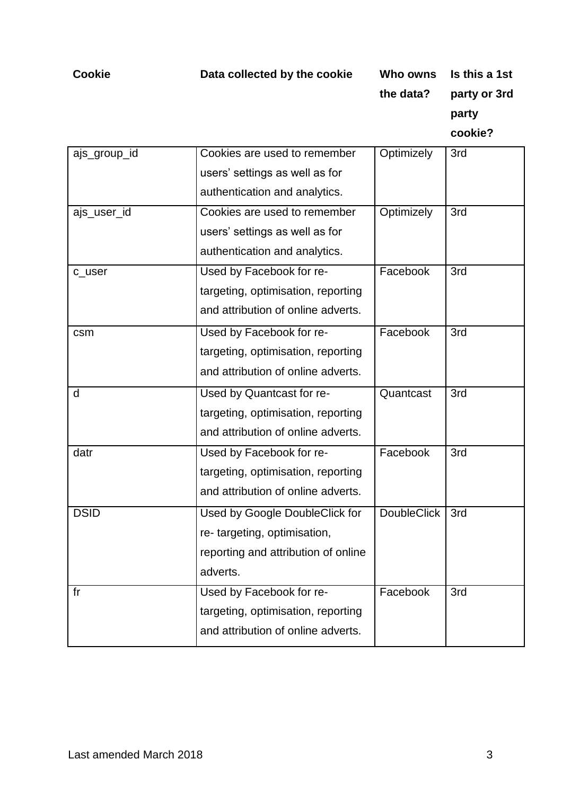**the data? party or 3rd party**

|              | Cookies are used to remember        | Optimizely         | 3rd |
|--------------|-------------------------------------|--------------------|-----|
| ajs_group_id |                                     |                    |     |
|              | users' settings as well as for      |                    |     |
|              | authentication and analytics.       |                    |     |
| ajs_user_id  | Cookies are used to remember        | Optimizely         | 3rd |
|              | users' settings as well as for      |                    |     |
|              | authentication and analytics.       |                    |     |
| c_user       | Used by Facebook for re-            | Facebook           | 3rd |
|              | targeting, optimisation, reporting  |                    |     |
|              | and attribution of online adverts.  |                    |     |
| csm          | Used by Facebook for re-            | Facebook           | 3rd |
|              | targeting, optimisation, reporting  |                    |     |
|              | and attribution of online adverts.  |                    |     |
| d            | Used by Quantcast for re-           | Quantcast          | 3rd |
|              | targeting, optimisation, reporting  |                    |     |
|              | and attribution of online adverts.  |                    |     |
| datr         | Used by Facebook for re-            | Facebook           | 3rd |
|              | targeting, optimisation, reporting  |                    |     |
|              | and attribution of online adverts.  |                    |     |
| <b>DSID</b>  | Used by Google DoubleClick for      | <b>DoubleClick</b> | 3rd |
|              | re-targeting, optimisation,         |                    |     |
|              | reporting and attribution of online |                    |     |
|              | adverts.                            |                    |     |
| fr           | Used by Facebook for re-            | Facebook           | 3rd |
|              | targeting, optimisation, reporting  |                    |     |
|              | and attribution of online adverts.  |                    |     |
|              |                                     |                    |     |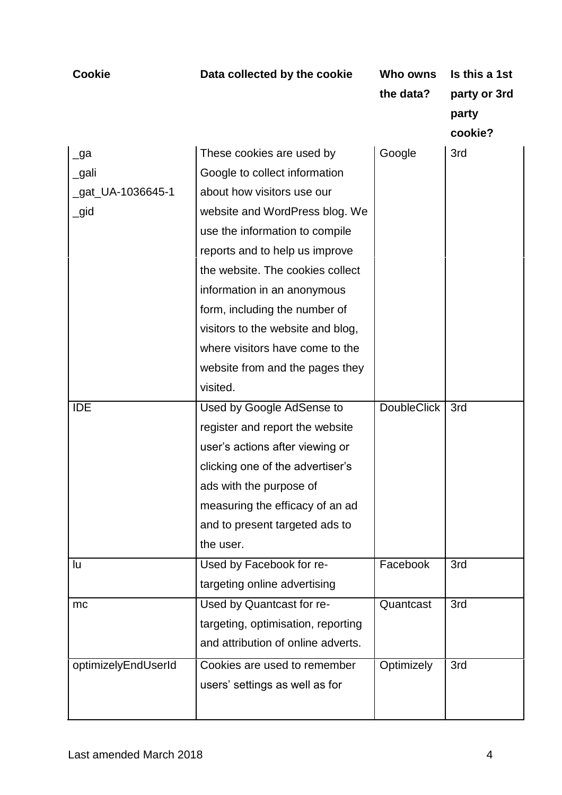| <b>Cookie</b>       | Data collected by the cookie       | Who owns<br>the data? | Is this a 1st<br>party or 3rd<br>party |
|---------------------|------------------------------------|-----------------------|----------------------------------------|
|                     |                                    |                       | cookie?                                |
| $\lrcorner$ ga      | These cookies are used by          | Google                | 3rd                                    |
| _gali               | Google to collect information      |                       |                                        |
| _gat_UA-1036645-1   | about how visitors use our         |                       |                                        |
| $\_gid$             | website and WordPress blog. We     |                       |                                        |
|                     | use the information to compile     |                       |                                        |
|                     | reports and to help us improve     |                       |                                        |
|                     | the website. The cookies collect   |                       |                                        |
|                     | information in an anonymous        |                       |                                        |
|                     | form, including the number of      |                       |                                        |
|                     | visitors to the website and blog,  |                       |                                        |
|                     | where visitors have come to the    |                       |                                        |
|                     | website from and the pages they    |                       |                                        |
|                     | visited.                           |                       |                                        |
| <b>IDE</b>          | Used by Google AdSense to          | <b>DoubleClick</b>    | 3rd                                    |
|                     | register and report the website    |                       |                                        |
|                     | user's actions after viewing or    |                       |                                        |
|                     | clicking one of the advertiser's   |                       |                                        |
|                     | ads with the purpose of            |                       |                                        |
|                     | measuring the efficacy of an ad    |                       |                                        |
|                     | and to present targeted ads to     |                       |                                        |
|                     | the user.                          |                       |                                        |
| lu                  | Used by Facebook for re-           | Facebook              | 3rd                                    |
|                     | targeting online advertising       |                       |                                        |
| mc                  | Used by Quantcast for re-          | Quantcast             | 3rd                                    |
|                     | targeting, optimisation, reporting |                       |                                        |
|                     | and attribution of online adverts. |                       |                                        |
| optimizelyEndUserId | Cookies are used to remember       | Optimizely            | 3rd                                    |
|                     | users' settings as well as for     |                       |                                        |
|                     |                                    |                       |                                        |
|                     |                                    |                       |                                        |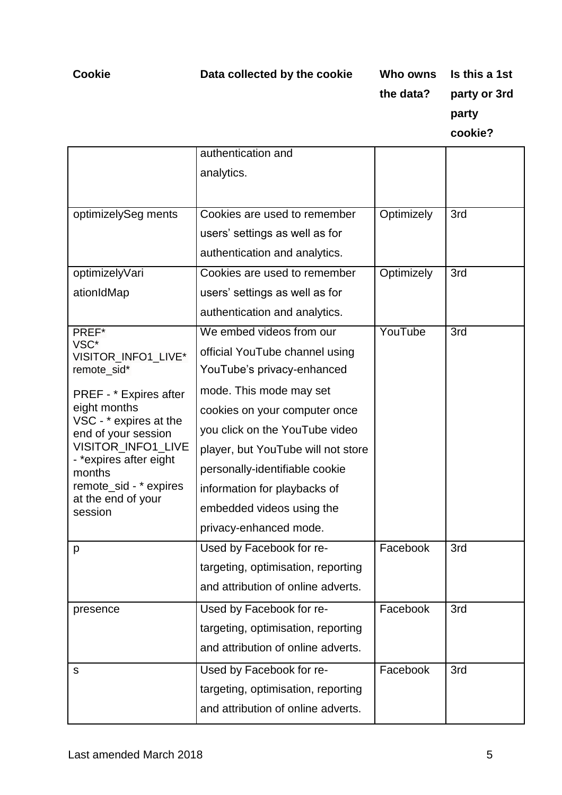**the data? party or 3rd**

**party**

|                                               | authentication and                 |            |     |
|-----------------------------------------------|------------------------------------|------------|-----|
|                                               | analytics.                         |            |     |
|                                               |                                    |            |     |
| optimizelySeg ments                           | Cookies are used to remember       | Optimizely | 3rd |
|                                               | users' settings as well as for     |            |     |
|                                               | authentication and analytics.      |            |     |
| optimizelyVari                                | Cookies are used to remember       | Optimizely | 3rd |
| ationIdMap                                    | users' settings as well as for     |            |     |
|                                               | authentication and analytics.      |            |     |
| PREF*                                         | We embed videos from our           | YouTube    | 3rd |
| VSC*<br>VISITOR_INFO1_LIVE*                   | official YouTube channel using     |            |     |
| remote_sid*                                   | YouTube's privacy-enhanced         |            |     |
| PREF - * Expires after                        | mode. This mode may set            |            |     |
| eight months                                  | cookies on your computer once      |            |     |
| VSC - * expires at the<br>end of your session | you click on the YouTube video     |            |     |
| VISITOR_INFO1_LIVE                            | player, but YouTube will not store |            |     |
| - *expires after eight<br>months              | personally-identifiable cookie     |            |     |
| remote_sid - * expires                        | information for playbacks of       |            |     |
| at the end of your<br>session                 | embedded videos using the          |            |     |
|                                               | privacy-enhanced mode.             |            |     |
| p                                             | Used by Facebook for re-           | Facebook   | 3rd |
|                                               | targeting, optimisation, reporting |            |     |
|                                               | and attribution of online adverts. |            |     |
| presence                                      | Used by Facebook for re-           | Facebook   | 3rd |
|                                               | targeting, optimisation, reporting |            |     |
|                                               | and attribution of online adverts. |            |     |
| s                                             | Used by Facebook for re-           | Facebook   | 3rd |
|                                               | targeting, optimisation, reporting |            |     |
|                                               | and attribution of online adverts. |            |     |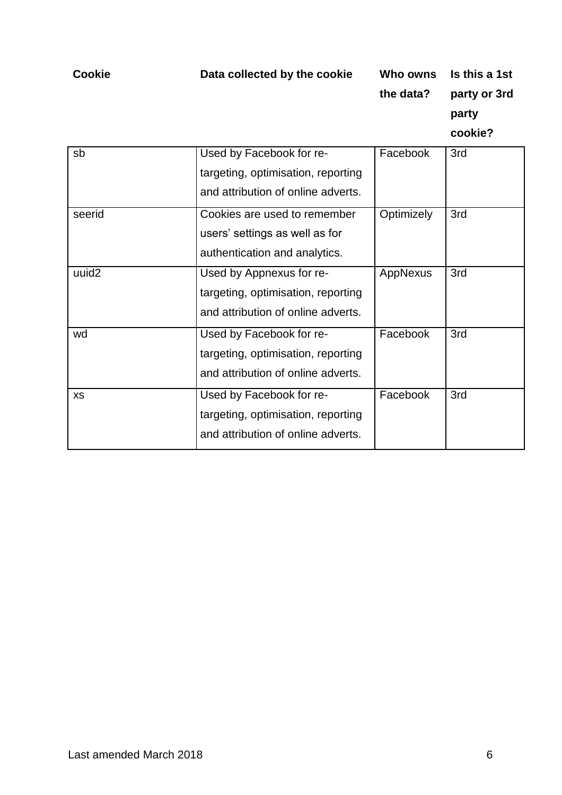**the data? party or 3rd party**

| sb                | Used by Facebook for re-<br>targeting, optimisation, reporting<br>and attribution of online adverts. | Facebook   | 3rd |
|-------------------|------------------------------------------------------------------------------------------------------|------------|-----|
| seerid            | Cookies are used to remember<br>users' settings as well as for<br>authentication and analytics.      | Optimizely | 3rd |
| uuid <sub>2</sub> | Used by Appnexus for re-<br>targeting, optimisation, reporting<br>and attribution of online adverts. | AppNexus   | 3rd |
| wd                | Used by Facebook for re-<br>targeting, optimisation, reporting<br>and attribution of online adverts. | Facebook   | 3rd |
| <b>XS</b>         | Used by Facebook for re-<br>targeting, optimisation, reporting<br>and attribution of online adverts. | Facebook   | 3rd |